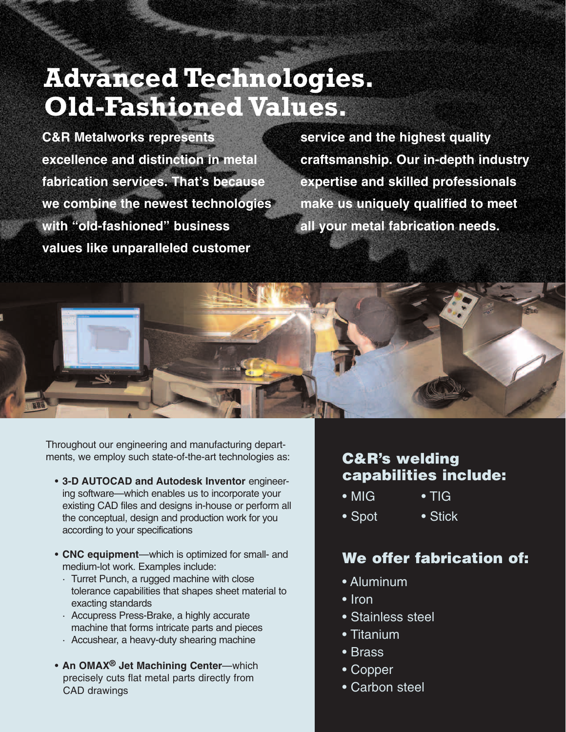# **Advanced Technologies. Old-Fashioned Values.**

**C&R Metalworks represents excellence and distinction in metal fabrication services. That's because we combine the newest technologies with "old-fashioned" business values like unparalleled customer** 

**service and the highest quality craftsmanship. Our in-depth industry expertise and skilled professionals make us uniquely qualified to meet all your metal fabrication needs.** 



Throughout our engineering and manufacturing departments, we employ such state-of-the-art technologies as:

- **3-D AUTOCAD and Autodesk Inventor** engineering software—which enables us to incorporate your existing CAD files and designs in-house or perform all the conceptual, design and production work for you according to your specifications
- **CNC equipment**—which is optimized for small- and medium-lot work. Examples include:
	- · Turret Punch, a rugged machine with close tolerance capabilities that shapes sheet material to exacting standards
	- · Accupress Press-Brake, a highly accurate machine that forms intricate parts and pieces
	- · Accushear, a heavy-duty shearing machine
- **An OMAX® Jet Machining Center**—which precisely cuts flat metal parts directly from CAD drawings

### **C&R's welding capabilities include:**

- MIG TIG
- Spot Stick

### **We offer fabrication of:**

- Aluminum
- Iron
- Stainless steel
- Titanium
- Brass
- Copper
- Carbon steel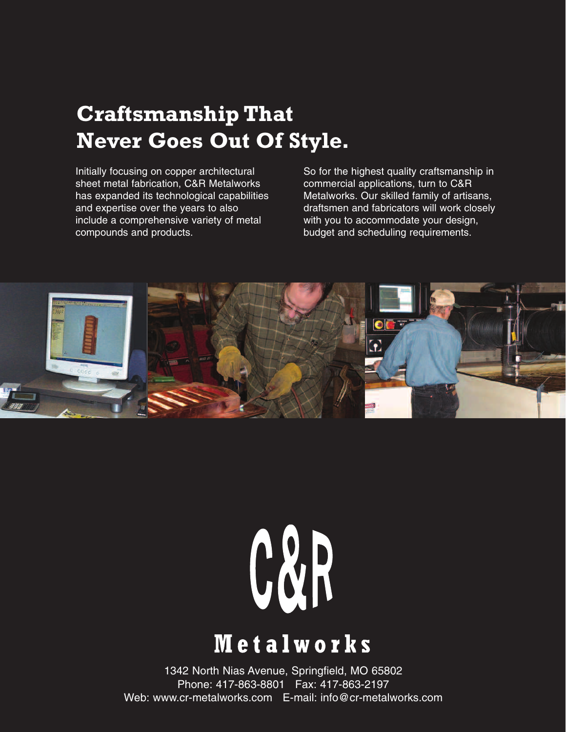### **Craftsmanship That Never Goes Out Of Style.**

Initially focusing on copper architectural sheet metal fabrication, C&R Metalworks has expanded its technological capabilities and expertise over the years to also include a comprehensive variety of metal compounds and products.

So for the highest quality craftsmanship in commercial applications, turn to C&R Metalworks. Our skilled family of artisans, draftsmen and fabricators will work closely with you to accommodate your design, budget and scheduling requirements.



# C&R

## **Metalworks**

1342 North Nias Avenue, Springfield, MO 65802 Phone: 417-863-8801 Fax: 417-863-2197 Web: www.cr-metalworks.com E-mail: info@cr-metalworks.com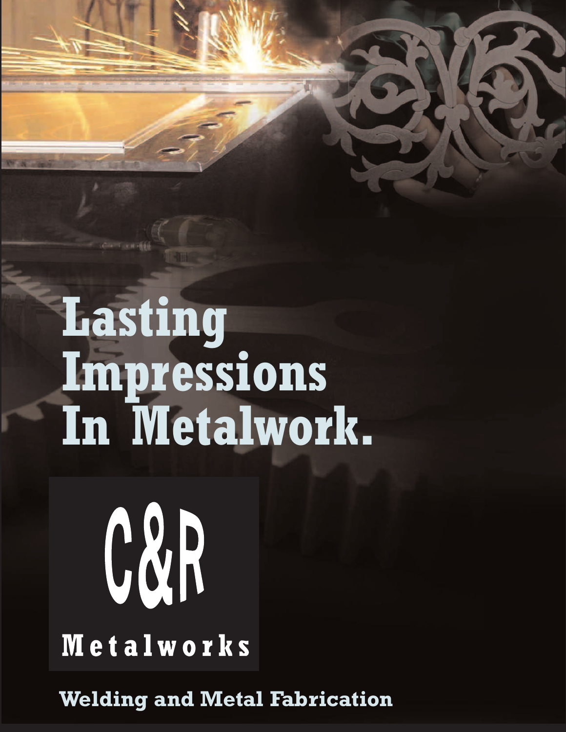# **Lasting Impressions In Metalwork.**

# **Metalworks**

C&R

**Welding and Metal Fabrication**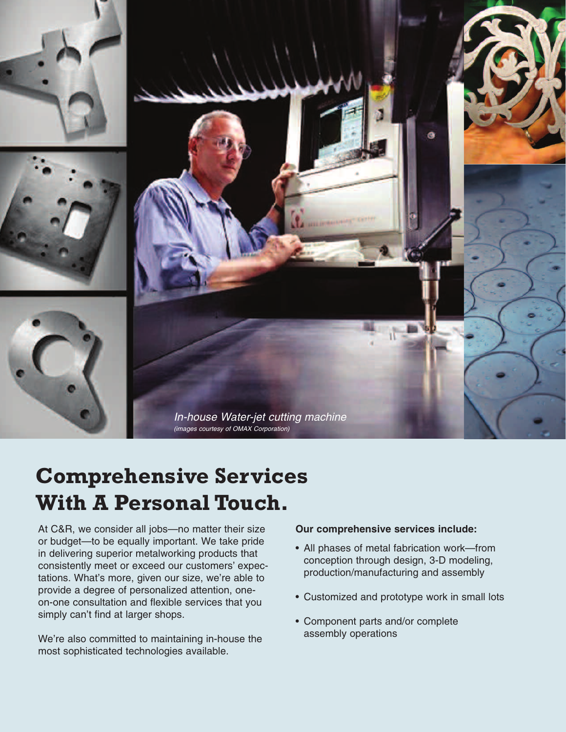

### **Comprehensive Services With A Personal Touch.**

At C&R, we consider all jobs—no matter their size or budget—to be equally important. We take pride in delivering superior metalworking products that consistently meet or exceed our customers' expectations. What's more, given our size, we're able to provide a degree of personalized attention, oneon-one consultation and flexible services that you simply can't find at larger shops.

We're also committed to maintaining in-house the most sophisticated technologies available.

#### **Our comprehensive services include:**

- All phases of metal fabrication work—from conception through design, 3-D modeling, production/manufacturing and assembly
- Customized and prototype work in small lots
- Component parts and/or complete assembly operations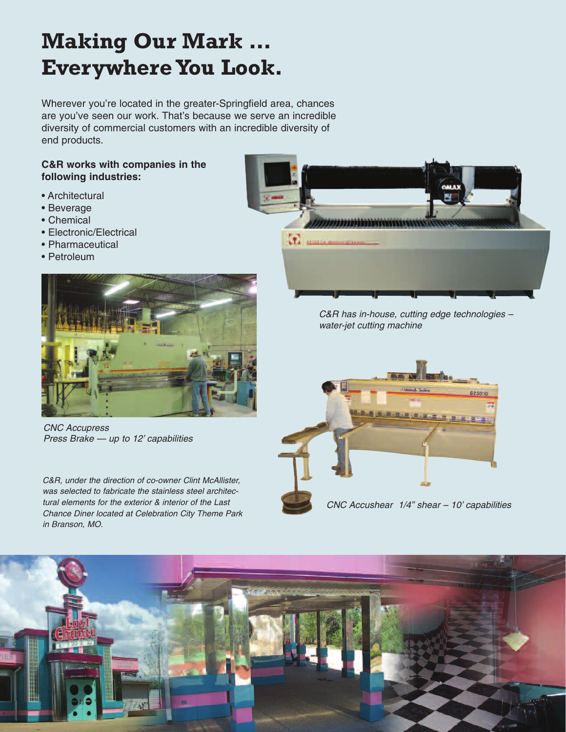### **Making Our Mark … Everywhere You Look.**

Wherever you're located in the greater-Springfield area, chances are you've seen our work. That's because we serve an incredible diversity of commercial customers with an incredible diversity of end products.

#### **C&R works with companies in the following industries:**

- Architectural
- Beverage
- Chemical
- Electronic/Electrical
- Pharmaceutical
- Petroleum



CNC Accupress Press Brake — up to 12' capabilities

C&R, under the direction of co-owner Clint McAllister, was selected to fabricate the stainless steel architectural elements for the exterior & interior of the Last Chance Diner located at Celebration City Theme Park in Branson, MO.



C&R has in-house, cutting edge technologies – water-jet cutting machine